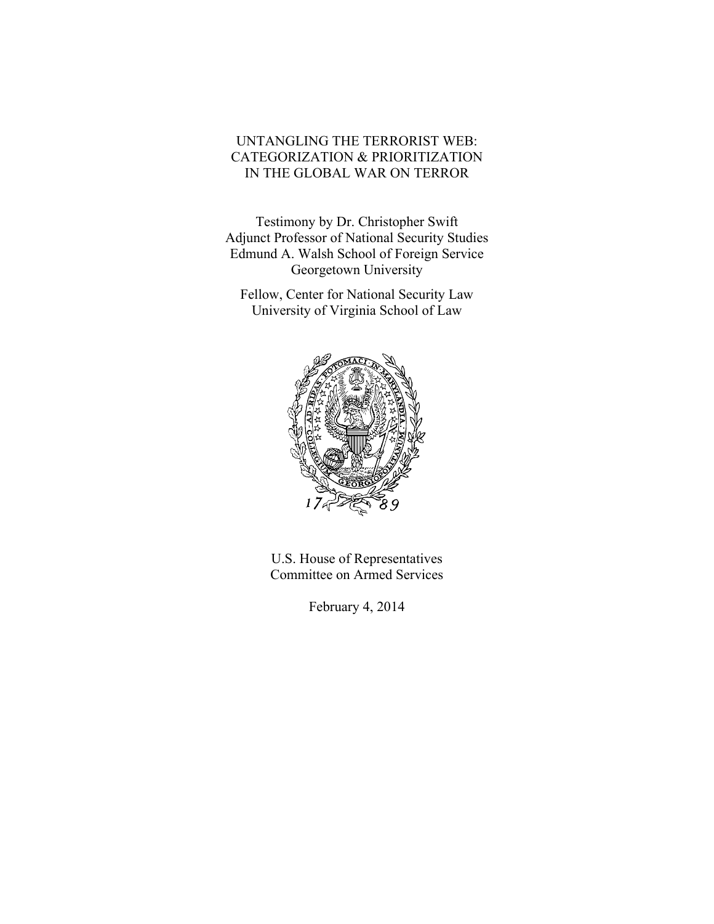## UNTANGLING THE TERRORIST WEB: CATEGORIZATION & PRIORITIZATION IN THE GLOBAL WAR ON TERROR

Testimony by Dr. Christopher Swift Adjunct Professor of National Security Studies Edmund A. Walsh School of Foreign Service Georgetown University

Fellow, Center for National Security Law University of Virginia School of Law



U.S. House of Representatives Committee on Armed Services

February 4, 2014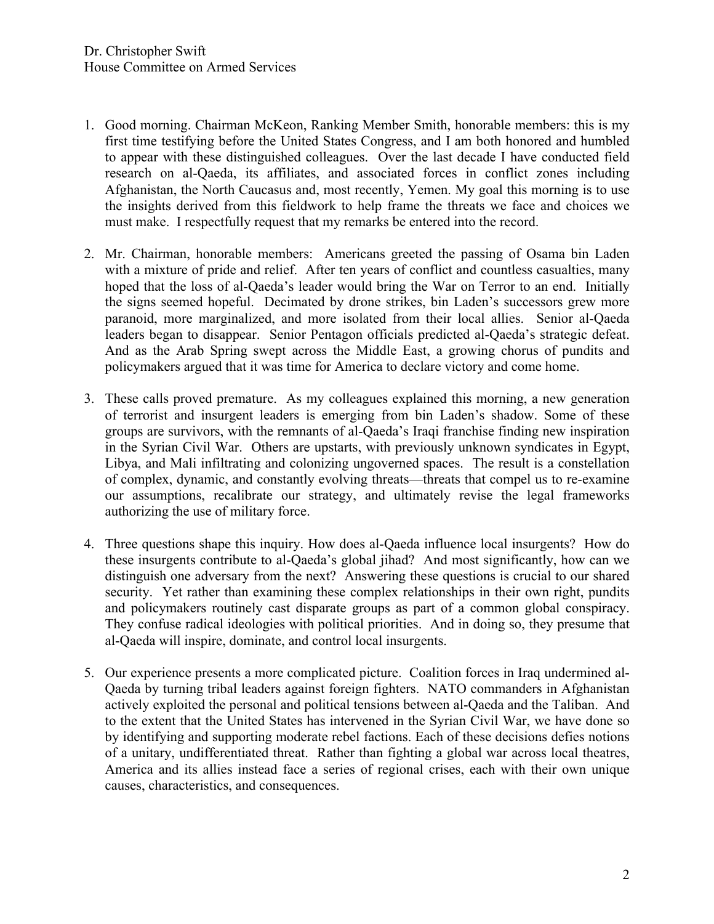- 1. Good morning. Chairman McKeon, Ranking Member Smith, honorable members: this is my first time testifying before the United States Congress, and I am both honored and humbled to appear with these distinguished colleagues. Over the last decade I have conducted field research on al-Qaeda, its affiliates, and associated forces in conflict zones including Afghanistan, the North Caucasus and, most recently, Yemen. My goal this morning is to use the insights derived from this fieldwork to help frame the threats we face and choices we must make. I respectfully request that my remarks be entered into the record.
- 2. Mr. Chairman, honorable members: Americans greeted the passing of Osama bin Laden with a mixture of pride and relief. After ten years of conflict and countless casualties, many hoped that the loss of al-Qaeda's leader would bring the War on Terror to an end. Initially the signs seemed hopeful. Decimated by drone strikes, bin Laden's successors grew more paranoid, more marginalized, and more isolated from their local allies. Senior al-Qaeda leaders began to disappear. Senior Pentagon officials predicted al-Qaeda's strategic defeat. And as the Arab Spring swept across the Middle East, a growing chorus of pundits and policymakers argued that it was time for America to declare victory and come home.
- 3. These calls proved premature. As my colleagues explained this morning, a new generation of terrorist and insurgent leaders is emerging from bin Laden's shadow. Some of these groups are survivors, with the remnants of al-Qaeda's Iraqi franchise finding new inspiration in the Syrian Civil War. Others are upstarts, with previously unknown syndicates in Egypt, Libya, and Mali infiltrating and colonizing ungoverned spaces. The result is a constellation of complex, dynamic, and constantly evolving threats—threats that compel us to re-examine our assumptions, recalibrate our strategy, and ultimately revise the legal frameworks authorizing the use of military force.
- 4. Three questions shape this inquiry. How does al-Qaeda influence local insurgents? How do these insurgents contribute to al-Qaeda's global jihad? And most significantly, how can we distinguish one adversary from the next? Answering these questions is crucial to our shared security. Yet rather than examining these complex relationships in their own right, pundits and policymakers routinely cast disparate groups as part of a common global conspiracy. They confuse radical ideologies with political priorities. And in doing so, they presume that al-Qaeda will inspire, dominate, and control local insurgents.
- 5. Our experience presents a more complicated picture. Coalition forces in Iraq undermined al-Qaeda by turning tribal leaders against foreign fighters. NATO commanders in Afghanistan actively exploited the personal and political tensions between al-Qaeda and the Taliban. And to the extent that the United States has intervened in the Syrian Civil War, we have done so by identifying and supporting moderate rebel factions. Each of these decisions defies notions of a unitary, undifferentiated threat. Rather than fighting a global war across local theatres, America and its allies instead face a series of regional crises, each with their own unique causes, characteristics, and consequences.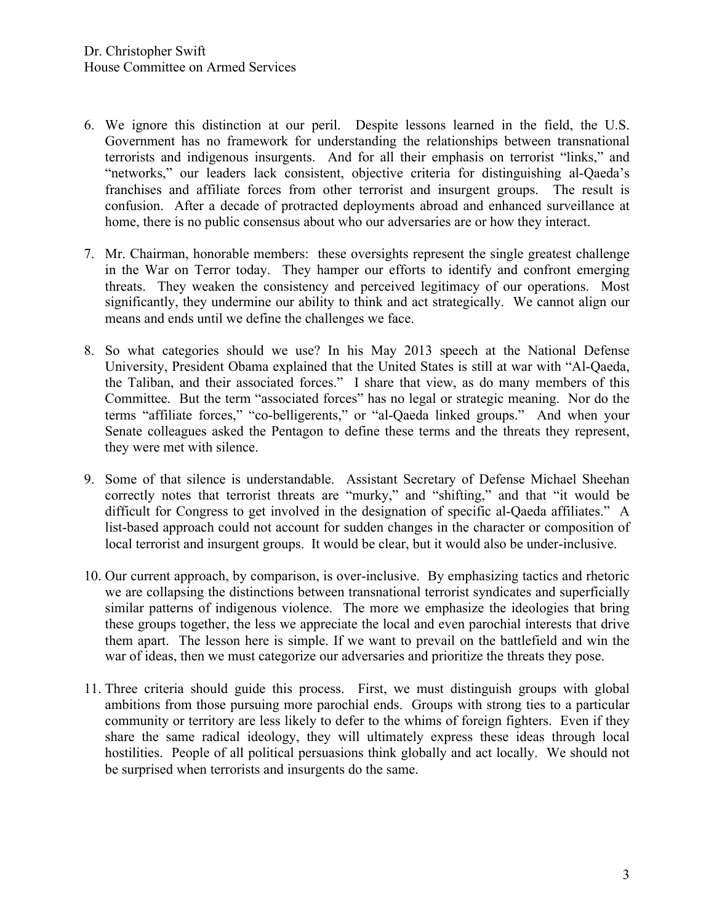- 6. We ignore this distinction at our peril. Despite lessons learned in the field, the U.S. Government has no framework for understanding the relationships between transnational terrorists and indigenous insurgents. And for all their emphasis on terrorist "links," and "networks," our leaders lack consistent, objective criteria for distinguishing al-Qaeda's franchises and affiliate forces from other terrorist and insurgent groups. The result is confusion. After a decade of protracted deployments abroad and enhanced surveillance at home, there is no public consensus about who our adversaries are or how they interact.
- 7. Mr. Chairman, honorable members: these oversights represent the single greatest challenge in the War on Terror today. They hamper our efforts to identify and confront emerging threats. They weaken the consistency and perceived legitimacy of our operations. Most significantly, they undermine our ability to think and act strategically. We cannot align our means and ends until we define the challenges we face.
- 8. So what categories should we use? In his May 2013 speech at the National Defense University, President Obama explained that the United States is still at war with "Al-Qaeda, the Taliban, and their associated forces." I share that view, as do many members of this Committee. But the term "associated forces" has no legal or strategic meaning. Nor do the terms "affiliate forces," "co-belligerents," or "al-Qaeda linked groups." And when your Senate colleagues asked the Pentagon to define these terms and the threats they represent, they were met with silence.
- 9. Some of that silence is understandable. Assistant Secretary of Defense Michael Sheehan correctly notes that terrorist threats are "murky," and "shifting," and that "it would be difficult for Congress to get involved in the designation of specific al-Qaeda affiliates." A list-based approach could not account for sudden changes in the character or composition of local terrorist and insurgent groups. It would be clear, but it would also be under-inclusive.
- 10. Our current approach, by comparison, is over-inclusive. By emphasizing tactics and rhetoric we are collapsing the distinctions between transnational terrorist syndicates and superficially similar patterns of indigenous violence. The more we emphasize the ideologies that bring these groups together, the less we appreciate the local and even parochial interests that drive them apart. The lesson here is simple. If we want to prevail on the battlefield and win the war of ideas, then we must categorize our adversaries and prioritize the threats they pose.
- 11. Three criteria should guide this process. First, we must distinguish groups with global ambitions from those pursuing more parochial ends. Groups with strong ties to a particular community or territory are less likely to defer to the whims of foreign fighters. Even if they share the same radical ideology, they will ultimately express these ideas through local hostilities. People of all political persuasions think globally and act locally. We should not be surprised when terrorists and insurgents do the same.